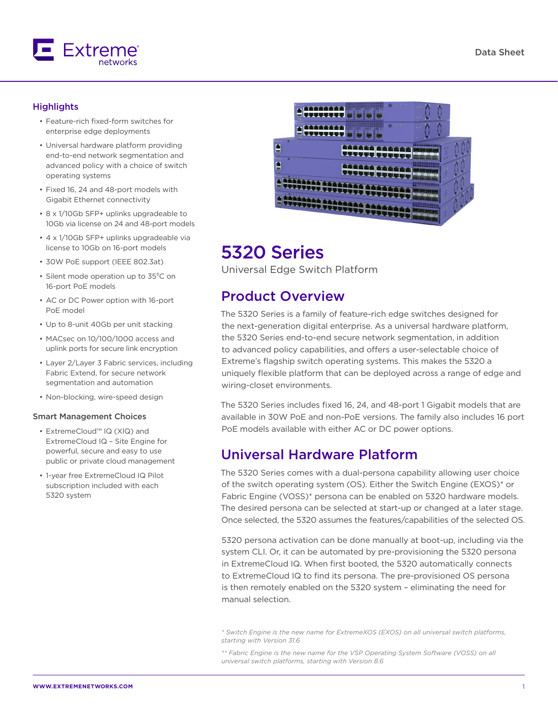

#### **Highlights**

- Feature-rich fixed-form switches for enterprise edge deployments
- Universal hardware platform providing end-to-end network segmentation and advanced policy with a choice of switch operating systems
- Fixed 16, 24 and 48-port models with Gigabit Ethernet connectivity
- 8 x 1/10Gb SFP+ uplinks upgradeable to 10Gb via license on 24 and 48-port models
- 4 x 1/10Gb SFP+ uplinks upgradeable via license to 10Gb on 16-port models
- 30W PoE support (IEEE 802.3at)
- Silent mode operation up to 35°C on 16-port PoE models
- AC or DC Power option with 16-port PoE model
- Up to 8-unit 40Gb per unit stacking
- MACsec on 10/100/1000 access and uplink ports for secure link encryption
- Layer 2/Layer 3 Fabric services, including Fabric Extend, for secure network segmentation and automation
- Non-blocking, wire-speed design

#### Smart Management Choices

- ExtremeCloud™ IQ (XIQ) and ExtremeCloud IQ – Site Engine for powerful, secure and easy to use public or private cloud management
- 1-year free ExtremeCloud IQ Pilot subscription included with each 5320 system



# 5320 Series

Universal Edge Switch Platform

# Product Overview

The 5320 Series is a family of feature-rich edge switches designed for the next-generation digital enterprise. As a universal hardware platform, the 5320 Series end-to-end secure network segmentation, in addition to advanced policy capabilities, and offers a user-selectable choice of Extreme's flagship switch operating systems. This makes the 5320 a uniquely flexible platform that can be deployed across a range of edge and wiring-closet environments.

The 5320 Series includes fixed 16, 24, and 48-port 1 Gigabit models that are available in 30W PoE and non-PoE versions. The family also includes 16 port PoE models available with either AC or DC power options.

### Universal Hardware Platform

The 5320 Series comes with a dual-persona capability allowing user choice of the switch operating system (OS). Either the Switch Engine (EXOS)\* or Fabric Engine (VOSS)\* persona can be enabled on 5320 hardware models. The desired persona can be selected at start-up or changed at a later stage. Once selected, the 5320 assumes the features/capabilities of the selected OS.

5320 persona activation can be done manually at boot-up, including via the system CLI. Or, it can be automated by pre-provisioning the 5320 persona in ExtremeCloud IQ. When first booted, the 5320 automatically connects to ExtremeCloud IQ to find its persona. The pre-provisioned OS persona is then remotely enabled on the 5320 system – eliminating the need for manual selection.

*<sup>\*</sup> Switch Engine is the new name for ExtremeXOS (EXOS) on all universal switch platforms, starting with Version 31.6*

*<sup>\*\*</sup> Fabric Engine is the new name for the VSP Operating System Software (VOSS) on all universal switch platforms, starting with Version 8.6*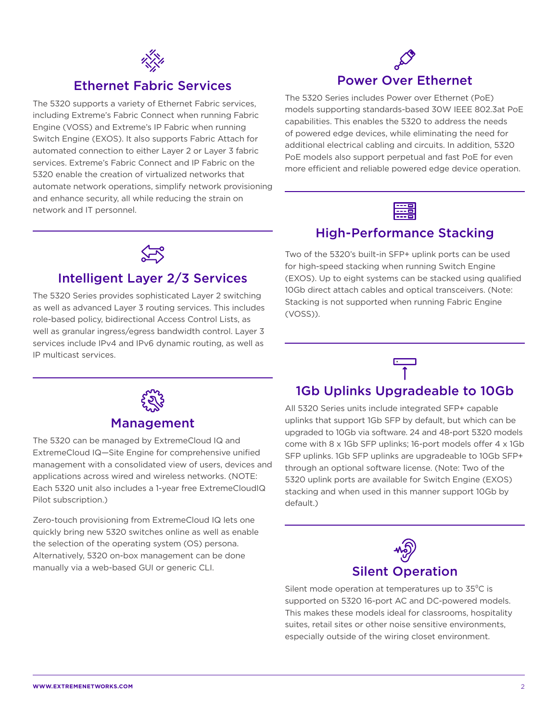

### Ethernet Fabric Services

The 5320 supports a variety of Ethernet Fabric services, including Extreme's Fabric Connect when running Fabric Engine (VOSS) and Extreme's IP Fabric when running Switch Engine (EXOS). It also supports Fabric Attach for automated connection to either Layer 2 or Layer 3 fabric services. Extreme's Fabric Connect and IP Fabric on the 5320 enable the creation of virtualized networks that automate network operations, simplify network provisioning and enhance security, all while reducing the strain on network and IT personnel.

# Power Over Ethernet

The 5320 Series includes Power over Ethernet (PoE) models supporting standards-based 30W IEEE 802.3at PoE capabilities. This enables the 5320 to address the needs of powered edge devices, while eliminating the need for additional electrical cabling and circuits. In addition, 5320 PoE models also support perpetual and fast PoE for even more efficient and reliable powered edge device operation.



### High-Performance Stacking

Two of the 5320's built-in SFP+ uplink ports can be used for high-speed stacking when running Switch Engine (EXOS). Up to eight systems can be stacked using qualified 10Gb direct attach cables and optical transceivers. (Note: Stacking is not supported when running Fabric Engine

(VOSS)).



# Intelligent Layer 2/3 Services

The 5320 Series provides sophisticated Layer 2 switching as well as advanced Layer 3 routing services. This includes role-based policy, bidirectional Access Control Lists, as well as granular ingress/egress bandwidth control. Layer 3 services include IPv4 and IPv6 dynamic routing, as well as IP multicast services.



### 1Gb Uplinks Upgradeable to 10Gb

All 5320 Series units include integrated SFP+ capable uplinks that support 1Gb SFP by default, but which can be upgraded to 10Gb via software. 24 and 48-port 5320 models come with 8 x 1Gb SFP uplinks; 16-port models offer 4 x 1Gb SFP uplinks. 1Gb SFP uplinks are upgradeable to 10Gb SFP+ through an optional software license. (Note: Two of the 5320 uplink ports are available for Switch Engine (EXOS) stacking and when used in this manner support 10Gb by default.)



Silent mode operation at temperatures up to  $35^{\circ}$ C is supported on 5320 16-port AC and DC-powered models. This makes these models ideal for classrooms, hospitality suites, retail sites or other noise sensitive environments, especially outside of the wiring closet environment.



### Management

The 5320 can be managed by ExtremeCloud IQ and ExtremeCloud IQ—Site Engine for comprehensive unified management with a consolidated view of users, devices and applications across wired and wireless networks. (NOTE: Each 5320 unit also includes a 1-year free ExtremeCloudIQ Pilot subscription.)

Zero-touch provisioning from ExtremeCloud IQ lets one quickly bring new 5320 switches online as well as enable the selection of the operating system (OS) persona. Alternatively, 5320 on-box management can be done manually via a web-based GUI or generic CLI.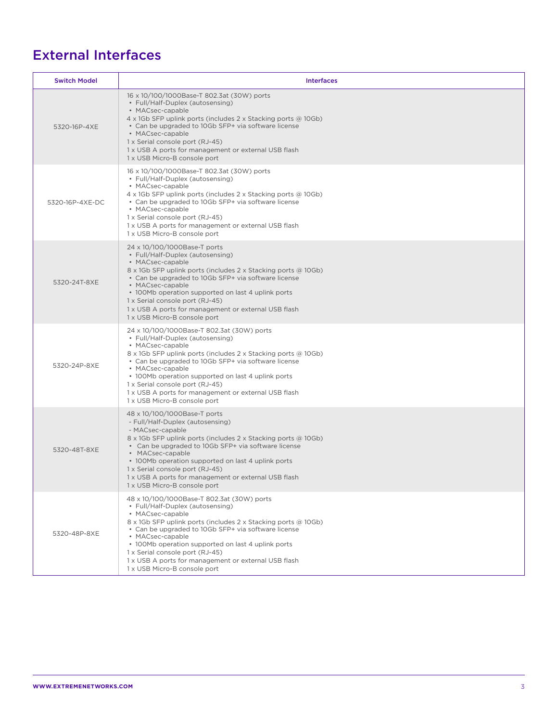# External Interfaces

| <b>Switch Model</b> | <b>Interfaces</b>                                                                                                                                                                                                                                                                                                                                                                                                               |  |  |
|---------------------|---------------------------------------------------------------------------------------------------------------------------------------------------------------------------------------------------------------------------------------------------------------------------------------------------------------------------------------------------------------------------------------------------------------------------------|--|--|
| 5320-16P-4XE        | 16 x 10/100/1000Base-T 802.3at (30W) ports<br>• Full/Half-Duplex (autosensing)<br>• MACsec-capable<br>$4 \times 1$ Gb SFP uplink ports (includes 2 x Stacking ports @ 10Gb)<br>• Can be upgraded to 10Gb SFP+ via software license<br>• MACsec-capable<br>1 x Serial console port (RJ-45)<br>1 x USB A ports for management or external USB flash<br>1 x USB Micro-B console port                                               |  |  |
| 5320-16P-4XE-DC     | 16 x 10/100/1000Base-T 802.3at (30W) ports<br>• Full/Half-Duplex (autosensing)<br>• MACsec-capable<br>4 x 1Gb SFP uplink ports (includes 2 x Stacking ports @ 10Gb)<br>• Can be upgraded to 10Gb SFP+ via software license<br>• MACsec-capable<br>1 x Serial console port (RJ-45)<br>1 x USB A ports for management or external USB flash<br>1 x USB Micro-B console port                                                       |  |  |
| 5320-24T-8XE        | 24 x 10/100/1000Base-T ports<br>• Full/Half-Duplex (autosensing)<br>• MACsec-capable<br>8 x 1Gb SFP uplink ports (includes 2 x Stacking ports @ 10Gb)<br>• Can be upgraded to 10Gb SFP+ via software license<br>• MACsec-capable<br>• 100Mb operation supported on last 4 uplink ports<br>1 x Serial console port (RJ-45)<br>1 x USB A ports for management or external USB flash<br>1 x USB Micro-B console port               |  |  |
| 5320-24P-8XE        | 24 x 10/100/1000Base-T 802.3at (30W) ports<br>• Full/Half-Duplex (autosensing)<br>• MACsec-capable<br>8 x 1Gb SFP uplink ports (includes 2 x Stacking ports @ 10Gb)<br>• Can be upgraded to 10Gb SFP+ via software license<br>• MACsec-capable<br>• 100Mb operation supported on last 4 uplink ports<br>1 x Serial console port (RJ-45)<br>1 x USB A ports for management or external USB flash<br>1 x USB Micro-B console port |  |  |
| 5320-48T-8XE        | 48 x 10/100/1000Base-T ports<br>- Full/Half-Duplex (autosensing)<br>- MACsec-capable<br>8 x 1Gb SFP uplink ports (includes 2 x Stacking ports @ 10Gb)<br>• Can be upgraded to 10Gb SFP+ via software license<br>• MACsec-capable<br>• 100Mb operation supported on last 4 uplink ports<br>1 x Serial console port (RJ-45)<br>1 x USB A ports for management or external USB flash<br>1 x USB Micro-B console port               |  |  |
| 5320-48P-8XE        | 48 x 10/100/1000Base-T 802.3at (30W) ports<br>• Full/Half-Duplex (autosensing)<br>• MACsec-capable<br>8 x 1Gb SFP uplink ports (includes 2 x Stacking ports @ 10Gb)<br>• Can be upgraded to 10Gb SFP+ via software license<br>• MACsec-capable<br>• 100Mb operation supported on last 4 uplink ports<br>1 x Serial console port (RJ-45)<br>1 x USB A ports for management or external USB flash<br>1 x USB Micro-B console port |  |  |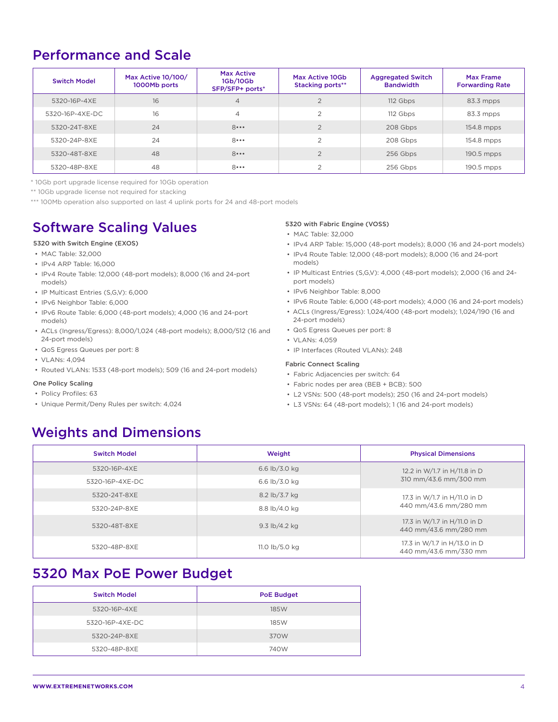# Performance and Scale

| <b>Switch Model</b> | Max Active 10/100/<br>1000Mb ports | <b>Max Active</b><br>1Gb/10Gb<br>SFP/SFP+ ports* | Max Active 10Gb<br><b>Stacking ports**</b> | <b>Aggregated Switch</b><br><b>Bandwidth</b> | <b>Max Frame</b><br><b>Forwarding Rate</b> |
|---------------------|------------------------------------|--------------------------------------------------|--------------------------------------------|----------------------------------------------|--------------------------------------------|
| 5320-16P-4XE        | 16                                 | $\overline{4}$                                   | $\bigcap$                                  | 112 Gbps                                     | 83.3 mpps                                  |
| 5320-16P-4XE-DC     | 16                                 | $\overline{4}$                                   | $\overline{2}$                             | 112 Gbps                                     | 83.3 mpps                                  |
| 5320-24T-8XE        | 24                                 | 8                                                | $\bigcap$                                  | 208 Gbps                                     | 154.8 mpps                                 |
| 5320-24P-8XE        | 24                                 | 8                                                | $\overline{2}$                             | 208 Gbps                                     | 154.8 mpps                                 |
| 5320-48T-8XE        | 48                                 | 8                                                | $\mathcal{P}$                              | 256 Gbps                                     | 190.5 mpps                                 |
| 5320-48P-8XE        | 48                                 | $8 \cdots$                                       | ◠                                          | 256 Gbps                                     | 190.5 mpps                                 |

\* 10Gb port upgrade license required for 10Gb operation

\*\* 10Gb upgrade license not required for stacking

\*\*\* 100Mb operation also supported on last 4 uplink ports for 24 and 48-port models

# Software Scaling Values

#### 5320 with Switch Engine (EXOS)

- MAC Table: 32,000
- IPv4 ARP Table: 16,000
- IPv4 Route Table: 12,000 (48-port models); 8,000 (16 and 24-port models)
- IP Multicast Entries (S,G,V): 6,000
- IPv6 Neighbor Table: 6,000
- IPv6 Route Table: 6,000 (48-port models); 4,000 (16 and 24-port models)
- ACLs (Ingress/Egress): 8,000/1,024 (48-port models); 8,000/512 (16 and 24-port models)
- QoS Egress Queues per port: 8
- VLANs: 4,094
- Routed VLANs: 1533 (48-port models); 509 (16 and 24-port models)

#### One Policy Scaling

- Policy Profiles: 63
- Unique Permit/Deny Rules per switch: 4,024

#### 5320 with Fabric Engine (VOSS)

- MAC Table: 32,000
- IPv4 ARP Table: 15,000 (48-port models); 8,000 (16 and 24-port models)
- IPv4 Route Table: 12,000 (48-port models); 8,000 (16 and 24-port models)
- IP Multicast Entries (S,G,V): 4,000 (48-port models); 2,000 (16 and 24 port models)
- IPv6 Neighbor Table: 8,000
- IPv6 Route Table: 6,000 (48-port models); 4,000 (16 and 24-port models)
- ACLs (Ingress/Egress): 1,024/400 (48-port models); 1,024/190 (16 and 24-port models)
- QoS Egress Queues per port: 8
- VI ANs: 4059
- IP Interfaces (Routed VLANs): 248

#### Fabric Connect Scaling

- Fabric Adjacencies per switch: 64
- Fabric nodes per area (BEB + BCB): 500
- L2 VSNs: 500 (48-port models); 250 (16 and 24-port models)
- L3 VSNs: 64 (48-port models); 1 (16 and 24-port models)

# Weights and Dimensions

| <b>Switch Model</b> | Weight                                 | <b>Physical Dimensions</b>                            |  |
|---------------------|----------------------------------------|-------------------------------------------------------|--|
| 5320-16P-4XE        | 6.6 lb/3.0 kg                          | 12.2 in W/1.7 in H/11.8 in D                          |  |
| 5320-16P-4XE-DC     | 310 mm/43.6 mm/300 mm<br>6.6 lb/3.0 kg |                                                       |  |
| 5320-24T-8XE        | 8.2 lb/3.7 kg                          | 17.3 in W/1.7 in H/11.0 in D                          |  |
| 5320-24P-8XE        | 8.8 lb/4.0 kg                          | 440 mm/43.6 mm/280 mm                                 |  |
| 5320-48T-8XE        | 9.3 lb/4.2 kg                          | 17.3 in W/1.7 in H/11.0 in D<br>440 mm/43.6 mm/280 mm |  |
| 5320-48P-8XE        | 11.0 lb/5.0 kg                         | 17.3 in W/1.7 in H/13.0 in D<br>440 mm/43.6 mm/330 mm |  |

### 5320 Max PoE Power Budget

| <b>Switch Model</b> | <b>PoE Budget</b> |
|---------------------|-------------------|
| 5320-16P-4XE        | 185W              |
| 5320-16P-4XE-DC     | 185W              |
| 5320-24P-8XE        | 370W              |
| 5320-48P-8XE        | 740W              |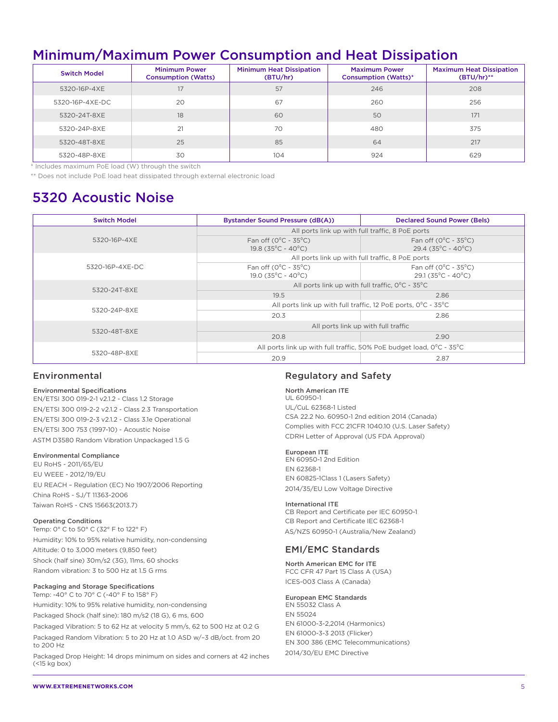# Minimum/Maximum Power Consumption and Heat Dissipation

| <b>Switch Model</b> | <b>Minimum Power</b><br><b>Consumption (Watts)</b> | <b>Minimum Heat Dissipation</b><br>(BTU/hr) | <b>Maximum Power</b><br><b>Consumption (Watts)*</b> | <b>Maximum Heat Dissipation</b><br>$(BTU/hr)$ ** |
|---------------------|----------------------------------------------------|---------------------------------------------|-----------------------------------------------------|--------------------------------------------------|
| 5320-16P-4XE        | 17                                                 | 57                                          | 246                                                 | 208                                              |
| 5320-16P-4XE-DC     | 20                                                 | 67                                          | 260                                                 | 256                                              |
| 5320-24T-8XE        | 18                                                 | 60                                          | 50                                                  | 171                                              |
| 5320-24P-8XE        | 21                                                 | 70                                          | 480                                                 | 375                                              |
| 5320-48T-8XE        | 25                                                 | 85                                          | 64                                                  | 217                                              |
| 5320-48P-8XE        | 30                                                 | 104                                         | 924                                                 | 629                                              |

\* Includes maximum PoE load (W) through the switch

\*\* Does not include PoE load heat dissipated through external electronic load

# 5320 Acoustic Noise

| <b>Switch Model</b> | Bystander Sound Pressure (dB(A))                                                          | <b>Declared Sound Power (Bels)</b>                                         |  |  |
|---------------------|-------------------------------------------------------------------------------------------|----------------------------------------------------------------------------|--|--|
|                     | All ports link up with full traffic, 8 PoE ports                                          |                                                                            |  |  |
| 5320-16P-4XE        | Fan off $(0^{\circ}C - 35^{\circ}C)$<br>$19.8$ (35 $^{\circ}$ C - 40 $^{\circ}$ C)        | Fan off $(0^{\circ}C - 35^{\circ}C)$<br>$29.4 (35^{\circ}C - 40^{\circ}C)$ |  |  |
|                     | All ports link up with full traffic, 8 PoE ports                                          |                                                                            |  |  |
| 5320-16P-4XE-DC     | Fan off $(0^{\circ}C - 35^{\circ}C)$<br>$19.0$ (35 $^{\circ}$ C - 40 $^{\circ}$ C)        | Fan off $(0^{\circ}C - 35^{\circ}C)$<br>$29.1 (35^{\circ}C - 40^{\circ}C)$ |  |  |
| 5320-24T-8XE        | All ports link up with full traffic, $O^{\circ}C - 35^{\circ}C$                           |                                                                            |  |  |
|                     | 19.5                                                                                      | 2.86                                                                       |  |  |
| 5320-24P-8XE        | All ports link up with full traffic, 12 PoE ports, $0^{\circ}$ C - 35 <sup>°</sup> C      |                                                                            |  |  |
|                     | 20.3                                                                                      | 2.86                                                                       |  |  |
|                     | All ports link up with full traffic                                                       |                                                                            |  |  |
| 5320-48T-8XE        | 20.8                                                                                      | 2.90                                                                       |  |  |
|                     | All ports link up with full traffic, 50% PoE budget load, $0^{\circ}$ C - 35 $^{\circ}$ C |                                                                            |  |  |
| 5320-48P-8XE        | 20.9                                                                                      | 2.87                                                                       |  |  |

#### Environmental

#### Environmental Specifications

EN/ETSI 300 019-2-1 v2.1.2 - Class 1.2 Storage EN/ETSI 300 019-2-2 v2.1.2 - Class 2.3 Transportation EN/ETSI 300 019-2-3 v2.1.2 - Class 3.1e Operational EN/ETSI 300 753 (1997-10) - Acoustic Noise ASTM D3580 Random Vibration Unpackaged 1.5 G

#### Environmental Compliance

EU RoHS - 2011/65/EU EU WEEE - 2012/19/EU EU REACH – Regulation (EC) No 1907/2006 Reporting China RoHS - SJ/T 11363-2006 Taiwan RoHS - CNS 15663(2013.7)

#### Operating Conditions

Temp: 0° C to 50° C (32° F to 122° F) Humidity: 10% to 95% relative humidity, non-condensing Altitude: 0 to 3,000 meters (9,850 feet) Shock (half sine) 30m/s2 (3G), 11ms, 60 shocks Random vibration: 3 to 500 Hz at 1.5 G rms

#### Packaging and Storage Specifications

Temp: -40° C to 70° C (-40° F to 158° F) Humidity: 10% to 95% relative humidity, non-condensing Packaged Shock (half sine): 180 m/s2 (18 G), 6 ms, 600

Packaged Vibration: 5 to 62 Hz at velocity 5 mm/s, 62 to 500 Hz at 0.2 G Packaged Random Vibration: 5 to 20 Hz at 1.0 ASD w/–3 dB/oct. from 20 to 200 Hz

Packaged Drop Height: 14 drops minimum on sides and corners at 42 inches (<15 kg box)

#### Regulatory and Safety

North American ITE UL 60950-1 UL/CuL 62368-1 Listed CSA 22.2 No. 60950-1 2nd edition 2014 (Canada) Complies with FCC 21CFR 1040.10 (U.S. Laser Safety) CDRH Letter of Approval (US FDA Approval)

#### European ITE

EN 60950-1 2nd Edition EN 62368-1 EN 60825-1Class 1 (Lasers Safety) 2014/35/EU Low Voltage Directive

#### International ITE

CB Report and Certificate per IEC 60950-1 CB Report and Certificate IEC 62368-1 AS/NZS 60950-1 (Australia/New Zealand)

#### EMI/EMC Standards

North American EMC for ITE FCC CFR 47 Part 15 Class A (USA) ICES-003 Class A (Canada)

#### European EMC Standards

EN 55032 Class A EN 55024 EN 61000-3-2,2014 (Harmonics) EN 61000-3-3 2013 (Flicker) EN 300 386 (EMC Telecommunications) 2014/30/EU EMC Directive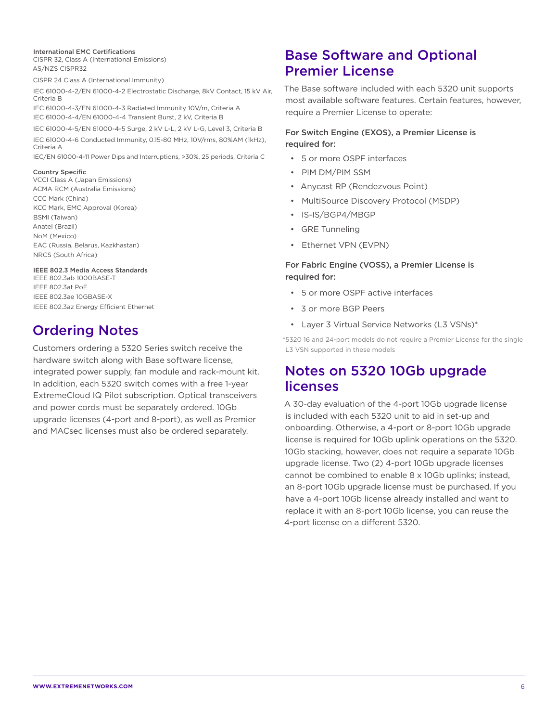#### International EMC Certifications

CISPR 32, Class A (International Emissions) AS/NZS CISPR32

CISPR 24 Class A (International Immunity)

IEC 61000-4-2/EN 61000-4-2 Electrostatic Discharge, 8kV Contact, 15 kV Air, Criteria B IEC 61000-4-3/EN 61000-4-3 Radiated Immunity 10V/m, Criteria A

IEC 61000-4-4/EN 61000-4-4 Transient Burst, 2 kV, Criteria B

IEC 61000-4-5/EN 61000-4-5 Surge, 2 kV L-L, 2 kV L-G, Level 3, Criteria B IEC 61000-4-6 Conducted Immunity, 0.15-80 MHz, 10V/rms, 80%AM (1kHz), Criteria A

IEC/EN 61000-4-11 Power Dips and Interruptions, >30%, 25 periods, Criteria C

#### Country Specific

VCCI Class A (Japan Emissions) ACMA RCM (Australia Emissions) CCC Mark (China) KCC Mark, EMC Approval (Korea) BSMI (Taiwan) Anatel (Brazil) NoM (Mexico) EAC (Russia, Belarus, Kazkhastan) NRCS (South Africa)

#### IEEE 802.3 Media Access Standards

IEEE 802.3ab 1000BASE-T IEEE 802.3at PoE IEEE 802.3ae 10GBASE-X IEEE 802.3az Energy Efficient Ethernet

# Ordering Notes

Customers ordering a 5320 Series switch receive the hardware switch along with Base software license, integrated power supply, fan module and rack-mount kit. In addition, each 5320 switch comes with a free 1-year ExtremeCloud IQ Pilot subscription. Optical transceivers and power cords must be separately ordered. 10Gb upgrade licenses (4-port and 8-port), as well as Premier and MACsec licenses must also be ordered separately.

# Base Software and Optional Premier License

The Base software included with each 5320 unit supports most available software features. Certain features, however, require a Premier License to operate:

#### For Switch Engine (EXOS), a Premier License is required for:

- 5 or more OSPF interfaces
- PIM DM/PIM SSM
- Anycast RP (Rendezvous Point)
- MultiSource Discovery Protocol (MSDP)
- IS-IS/BGP4/MBGP
- GRE Tunneling
- Ethernet VPN (EVPN)

#### For Fabric Engine (VOSS), a Premier License is required for:

- 5 or more OSPF active interfaces
- 3 or more BGP Peers
- Layer 3 Virtual Service Networks (L3 VSNs)\*

\*5320 16 and 24-port models do not require a Premier License for the single L3 VSN supported in these models

# Notes on 5320 10Gb upgrade licenses

A 30-day evaluation of the 4-port 10Gb upgrade license is included with each 5320 unit to aid in set-up and onboarding. Otherwise, a 4-port or 8-port 10Gb upgrade license is required for 10Gb uplink operations on the 5320. 10Gb stacking, however, does not require a separate 10Gb upgrade license. Two (2) 4-port 10Gb upgrade licenses cannot be combined to enable 8 x 10Gb uplinks; instead, an 8-port 10Gb upgrade license must be purchased. If you have a 4-port 10Gb license already installed and want to replace it with an 8-port 10Gb license, you can reuse the 4-port license on a different 5320.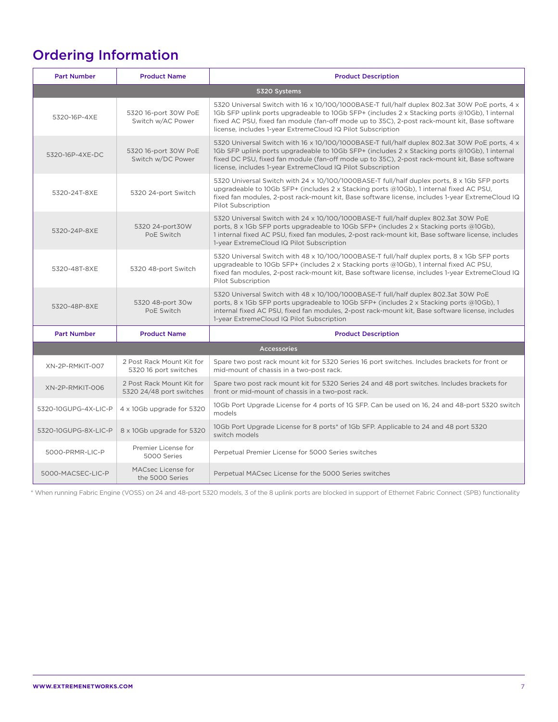# Ordering Information

| <b>Part Number</b>   | <b>Product Name</b>                                   | <b>Product Description</b>                                                                                                                                                                                                                                                                                                                                     |  |  |
|----------------------|-------------------------------------------------------|----------------------------------------------------------------------------------------------------------------------------------------------------------------------------------------------------------------------------------------------------------------------------------------------------------------------------------------------------------------|--|--|
| 5320 Systems         |                                                       |                                                                                                                                                                                                                                                                                                                                                                |  |  |
| 5320-16P-4XE         | 5320 16-port 30W PoE<br>Switch w/AC Power             | 5320 Universal Switch with 16 x 10/100/1000BASE-T full/half duplex 802.3at 30W PoE ports, 4 x<br>1Gb SFP uplink ports upgradeable to 10Gb SFP+ (includes 2 x Stacking ports @10Gb), 1 internal<br>fixed AC PSU, fixed fan module (fan-off mode up to 35C), 2-post rack-mount kit, Base software<br>license, includes 1-year ExtremeCloud IQ Pilot Subscription |  |  |
| 5320-16P-4XE-DC      | 5320 16-port 30W PoE<br>Switch w/DC Power             | 5320 Universal Switch with 16 x 10/100/1000BASE-T full/half duplex 802.3at 30W PoE ports, 4 x<br>1Gb SFP uplink ports upgradeable to 10Gb SFP+ (includes 2 x Stacking ports @10Gb), 1 internal<br>fixed DC PSU, fixed fan module (fan-off mode up to 35C), 2-post rack-mount kit, Base software<br>license, includes 1-year ExtremeCloud IQ Pilot Subscription |  |  |
| 5320-24T-8XE         | 5320 24-port Switch                                   | 5320 Universal Switch with 24 x 10/100/1000BASE-T full/half duplex ports, 8 x 1Gb SFP ports<br>upgradeable to 10Gb SFP+ (includes $2 \times$ Stacking ports @10Gb), 1 internal fixed AC PSU,<br>fixed fan modules, 2-post rack-mount kit, Base software license, includes 1-year ExtremeCloud IQ<br>Pilot Subscription                                         |  |  |
| 5320-24P-8XE         | 5320 24-port30W<br>PoE Switch                         | 5320 Universal Switch with 24 x 10/100/1000BASE-T full/half duplex 802.3at 30W PoE<br>ports, 8 x 1Gb SFP ports upgradeable to 10Gb SFP+ (includes 2 x Stacking ports @10Gb),<br>1 internal fixed AC PSU, fixed fan modules, 2-post rack-mount kit, Base software license, includes<br>1-year ExtremeCloud IQ Pilot Subscription                                |  |  |
| 5320-48T-8XE         | 5320 48-port Switch                                   | 5320 Universal Switch with 48 x 10/100/1000BASE-T full/half duplex ports, 8 x 1Gb SFP ports<br>upgradeable to 10Gb SFP+ (includes $2 \times$ Stacking ports @10Gb), 1 internal fixed AC PSU,<br>fixed fan modules, 2-post rack-mount kit, Base software license, includes 1-year ExtremeCloud IQ<br>Pilot Subscription                                         |  |  |
| 5320-48P-8XE         | 5320 48-port 30w<br>PoE Switch                        | 5320 Universal Switch with 48 x 10/100/1000BASE-T full/half duplex 802.3at 30W PoE<br>ports, 8 x 1Gb SFP ports upgradeable to 10Gb SFP+ (includes 2 x Stacking ports @10Gb), 1<br>internal fixed AC PSU, fixed fan modules, 2-post rack-mount kit, Base software license, includes<br>1-year ExtremeCloud IQ Pilot Subscription                                |  |  |
| <b>Part Number</b>   | <b>Product Name</b>                                   | <b>Product Description</b>                                                                                                                                                                                                                                                                                                                                     |  |  |
| <b>Accessories</b>   |                                                       |                                                                                                                                                                                                                                                                                                                                                                |  |  |
| XN-2P-RMKIT-007      | 2 Post Rack Mount Kit for<br>5320 16 port switches    | Spare two post rack mount kit for 5320 Series 16 port switches. Includes brackets for front or<br>mid-mount of chassis in a two-post rack.                                                                                                                                                                                                                     |  |  |
| XN-2P-RMKIT-006      | 2 Post Rack Mount Kit for<br>5320 24/48 port switches | Spare two post rack mount kit for 5320 Series 24 and 48 port switches. Includes brackets for<br>front or mid-mount of chassis in a two-post rack.                                                                                                                                                                                                              |  |  |
| 5320-10GUPG-4X-LIC-P | 4 x 10Gb upgrade for 5320                             | 10Gb Port Upgrade License for 4 ports of 1G SFP. Can be used on 16, 24 and 48-port 5320 switch<br>models                                                                                                                                                                                                                                                       |  |  |
| 5320-10GUPG-8X-LIC-P | 8 x 10Gb upgrade for 5320                             | 10Gb Port Upgrade License for 8 ports* of 1Gb SFP. Applicable to 24 and 48 port 5320<br>switch models                                                                                                                                                                                                                                                          |  |  |
| 5000-PRMR-LIC-P      | Premier License for<br>5000 Series                    | Perpetual Premier License for 5000 Series switches                                                                                                                                                                                                                                                                                                             |  |  |
| 5000-MACSEC-LIC-P    | MACsec License for<br>the 5000 Series                 | Perpetual MACsec License for the 5000 Series switches                                                                                                                                                                                                                                                                                                          |  |  |

\* When running Fabric Engine (VOSS) on 24 and 48-port 5320 models, 3 of the 8 uplink ports are blocked in support of Ethernet Fabric Connect (SPB) functionality